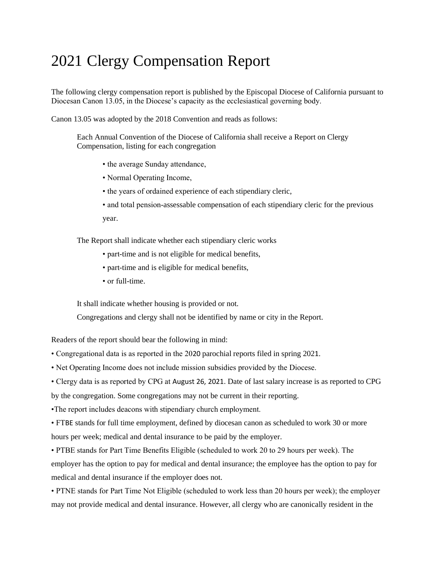## 2021 Clergy Compensation Report

The following clergy compensation report is published by the Episcopal Diocese of California pursuant to Diocesan Canon 13.05, in the Diocese's capacity as the ecclesiastical governing body.

Canon 13.05 was adopted by the 2018 Convention and reads as follows:

Each Annual Convention of the Diocese of California shall receive a Report on Clergy Compensation, listing for each congregation

- the average Sunday attendance,
- Normal Operating Income,
- the years of ordained experience of each stipendiary cleric,
- and total pension-assessable compensation of each stipendiary cleric for the previous year.

The Report shall indicate whether each stipendiary cleric works

- part-time and is not eligible for medical benefits,
- part-time and is eligible for medical benefits,
- or full-time.

It shall indicate whether housing is provided or not.

Congregations and clergy shall not be identified by name or city in the Report.

Readers of the report should bear the following in mind:

- Congregational data is as reported in the 2020 parochial reports filed in spring 2021.
- Net Operating Income does not include mission subsidies provided by the Diocese.
- Clergy data is as reported by CPG at August 26, 2021. Date of last salary increase is as reported to CPG

by the congregation. Some congregations may not be current in their reporting.

•The report includes deacons with stipendiary church employment.

• FTBE stands for full time employment, defined by diocesan canon as scheduled to work 30 or more hours per week; medical and dental insurance to be paid by the employer.

• PTBE stands for Part Time Benefits Eligible (scheduled to work 20 to 29 hours per week). The employer has the option to pay for medical and dental insurance; the employee has the option to pay for medical and dental insurance if the employer does not.

• PTNE stands for Part Time Not Eligible (scheduled to work less than 20 hours per week); the employer may not provide medical and dental insurance. However, all clergy who are canonically resident in the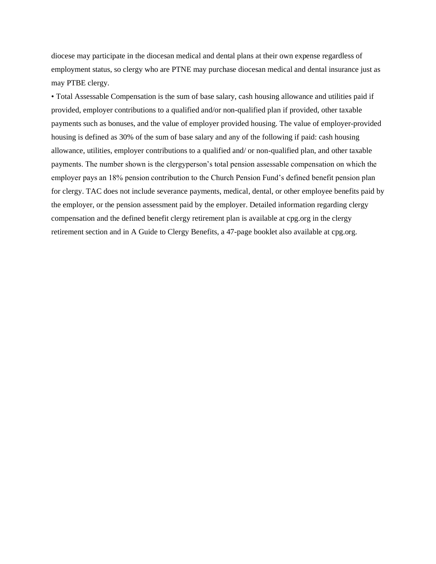diocese may participate in the diocesan medical and dental plans at their own expense regardless of employment status, so clergy who are PTNE may purchase diocesan medical and dental insurance just as may PTBE clergy.

• Total Assessable Compensation is the sum of base salary, cash housing allowance and utilities paid if provided, employer contributions to a qualified and/or non-qualified plan if provided, other taxable payments such as bonuses, and the value of employer provided housing. The value of employer-provided housing is defined as 30% of the sum of base salary and any of the following if paid: cash housing allowance, utilities, employer contributions to a qualified and/ or non-qualified plan, and other taxable payments. The number shown is the clergyperson's total pension assessable compensation on which the employer pays an 18% pension contribution to the Church Pension Fund's defined benefit pension plan for clergy. TAC does not include severance payments, medical, dental, or other employee benefits paid by the employer, or the pension assessment paid by the employer. Detailed information regarding clergy compensation and the defined benefit clergy retirement plan is available at cpg.org in the clergy retirement section and in A Guide to Clergy Benefits, a 47-page booklet also available at cpg.org.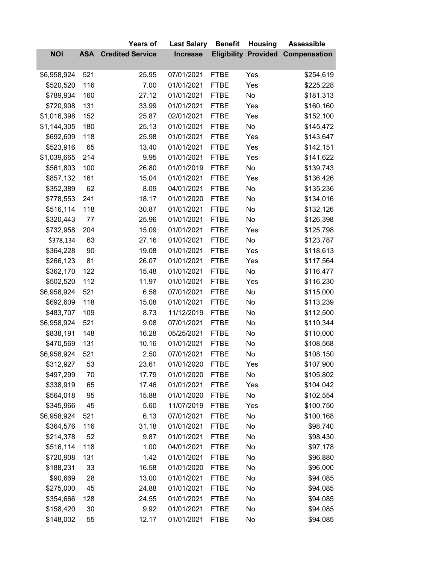|             |            | <b>Years of</b>         | <b>Last Salary</b> | <b>Benefit</b> | <b>Housing</b>              | <b>Assessible</b>   |
|-------------|------------|-------------------------|--------------------|----------------|-----------------------------|---------------------|
| <b>NOI</b>  | <b>ASA</b> | <b>Credited Service</b> | <b>Increase</b>    |                | <b>Eligibility Provided</b> | <b>Compensation</b> |
| \$6,958,924 | 521        | 25.95                   | 07/01/2021         | <b>FTBE</b>    | Yes                         | \$254,619           |
| \$520,520   | 116        | 7.00                    | 01/01/2021         | <b>FTBE</b>    | Yes                         | \$225,228           |
| \$789,934   | 160        | 27.12                   | 01/01/2021         | <b>FTBE</b>    | No                          | \$181,313           |
| \$720,908   | 131        | 33.99                   | 01/01/2021         | <b>FTBE</b>    | Yes                         | \$160,160           |
| \$1,016,398 | 152        | 25.87                   | 02/01/2021         | <b>FTBE</b>    | Yes                         | \$152,100           |
| \$1,144,305 | 180        | 25.13                   | 01/01/2021         | <b>FTBE</b>    | No                          | \$145,472           |
| \$692,609   | 118        | 25.98                   | 01/01/2021         | <b>FTBE</b>    | Yes                         | \$143,647           |
| \$523,916   | 65         | 13.40                   | 01/01/2021         | <b>FTBE</b>    | Yes                         | \$142,151           |
| \$1,039,665 | 214        | 9.95                    | 01/01/2021         | <b>FTBE</b>    | Yes                         | \$141,622           |
| \$561,803   | 100        | 26.80                   | 01/01/2019         | <b>FTBE</b>    | No                          | \$139,743           |
| \$857,132   | 161        | 15.04                   | 01/01/2021         | <b>FTBE</b>    | Yes                         | \$136,426           |
| \$352,389   | 62         | 8.09                    | 04/01/2021         | <b>FTBE</b>    | No                          | \$135,236           |
| \$778,553   | 241        | 18.17                   | 01/01/2020         | <b>FTBE</b>    | No                          | \$134,016           |
| \$516,114   | 118        | 30.87                   | 01/01/2021         | <b>FTBE</b>    | No                          | \$132,126           |
| \$320,443   | 77         | 25.96                   | 01/01/2021         | <b>FTBE</b>    | No                          | \$126,398           |
| \$732,958   | 204        | 15.09                   | 01/01/2021         | <b>FTBE</b>    | Yes                         | \$125,798           |
| \$378,134   | 63         | 27.16                   | 01/01/2021         | <b>FTBE</b>    | No                          | \$123,787           |
| \$364,228   | 90         | 19.08                   | 01/01/2021         | <b>FTBE</b>    | Yes                         | \$118,613           |
| \$266,123   | 81         | 26.07                   | 01/01/2021         | <b>FTBE</b>    | Yes                         | \$117,564           |
| \$362,170   | 122        | 15.48                   | 01/01/2021         | <b>FTBE</b>    | No                          | \$116,477           |
| \$502,520   | 112        | 11.97                   | 01/01/2021         | <b>FTBE</b>    | Yes                         | \$116,230           |
| \$6,958,924 | 521        | 6.58                    | 07/01/2021         | <b>FTBE</b>    | No                          | \$115,000           |
| \$692,609   | 118        | 15.08                   | 01/01/2021         | <b>FTBE</b>    | No                          | \$113,239           |
| \$483,707   | 109        | 8.73                    | 11/12/2019         | <b>FTBE</b>    | No                          | \$112,500           |
| \$6,958,924 | 521        | 9.08                    | 07/01/2021         | <b>FTBE</b>    | No                          | \$110,344           |
| \$838,191   | 148        | 16.28                   | 05/25/2021         | <b>FTBE</b>    | No                          | \$110,000           |
| \$470,569   | 131        | 10.16                   | 01/01/2021         | <b>FTBE</b>    | No                          | \$108,568           |
| \$6,958,924 | 521        | 2.50                    | 07/01/2021         | <b>FTBE</b>    | No                          | \$108,150           |
| \$312,927   | 53         | 23.61                   | 01/01/2020         | <b>FTBE</b>    | Yes                         | \$107,900           |
| \$497,299   | 70         | 17.79                   | 01/01/2020         | <b>FTBE</b>    | No                          | \$105,802           |
| \$338,919   | 65         | 17.46                   | 01/01/2021         | <b>FTBE</b>    | Yes                         | \$104,042           |
| \$564,018   | 95         | 15.88                   | 01/01/2020         | <b>FTBE</b>    | No                          | \$102,554           |
| \$345,966   | 45         | 5.60                    | 11/07/2019         | <b>FTBE</b>    | Yes                         | \$100,750           |
| \$6,958,924 | 521        | 6.13                    | 07/01/2021         | <b>FTBE</b>    | No                          | \$100,168           |
| \$364,576   | 116        | 31.18                   | 01/01/2021         | <b>FTBE</b>    | No                          | \$98,740            |
| \$214,378   | 52         | 9.87                    | 01/01/2021         | <b>FTBE</b>    | No                          | \$98,430            |
| \$516,114   | 118        | 1.00                    | 04/01/2021         | <b>FTBE</b>    | No                          | \$97,178            |
| \$720,908   | 131        | 1.42                    | 01/01/2021         | <b>FTBE</b>    | No                          | \$96,880            |
| \$188,231   | 33         | 16.58                   | 01/01/2020         | <b>FTBE</b>    | No                          | \$96,000            |
| \$90,669    | 28         | 13.00                   | 01/01/2021         | <b>FTBE</b>    | No                          | \$94,085            |
| \$275,000   | 45         | 24.88                   | 01/01/2021         | <b>FTBE</b>    | No                          | \$94,085            |
| \$354,666   | 128        | 24.55                   | 01/01/2021         | <b>FTBE</b>    | No                          | \$94,085            |
| \$158,420   | 30         | 9.92                    | 01/01/2021         | <b>FTBE</b>    | No                          | \$94,085            |
| \$148,002   | 55         | 12.17                   | 01/01/2021         | <b>FTBE</b>    | No                          | \$94,085            |